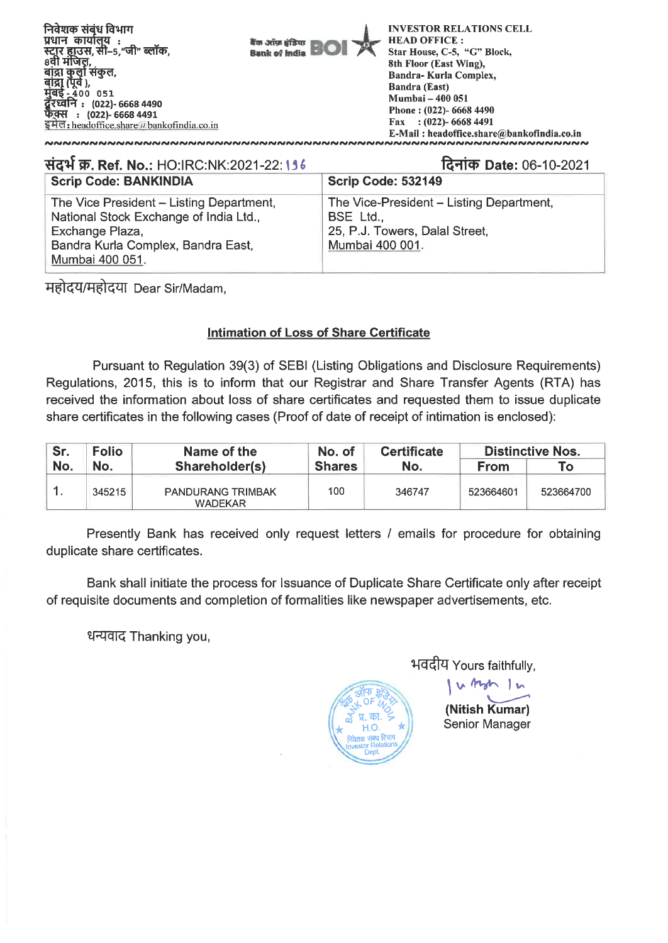

E-Mail : headoffice.share@bankofindia.co.in

| संदर्भ क्र. Ref. No.: HO:IRC:NK:2021-22:156                                                                                                                    | दिनांक Date: 06-10-2021                                                                                           |  |  |  |
|----------------------------------------------------------------------------------------------------------------------------------------------------------------|-------------------------------------------------------------------------------------------------------------------|--|--|--|
| <b>Scrip Code: BANKINDIA</b>                                                                                                                                   | Scrip Code: 532149                                                                                                |  |  |  |
| The Vice President - Listing Department,<br>National Stock Exchange of India Ltd.,<br>Exchange Plaza,<br>Bandra Kurla Complex, Bandra East,<br>Mumbai 400 051. | The Vice-President - Listing Department,<br><b>BSE Ltd.,</b><br>25, P.J. Towers, Dalal Street,<br>Mumbai 400 001. |  |  |  |

महोदय/महोदया Dear Sir/Madam,

## **Intimation of Loss of Share Certificate**

Pursuant to Regulation 39(3) of SEBI (Listing Obligations and Disclosure Requirements) Regulations, 2015, this is to inform that our Registrar and Share Transfer Agents (RTA) has received the information about loss of share certificates and requested them to issue duplicate share certificates in the following cases (Proof of date of receipt of intimation is enclosed):

| Sr. | <b>Folio</b> | Name of the                                | No. of        | <b>Certificate</b> | <b>Distinctive Nos.</b> |           |
|-----|--------------|--------------------------------------------|---------------|--------------------|-------------------------|-----------|
| No. | No.          | Shareholder(s)                             | <b>Shares</b> | No.                | <b>From</b>             | ™о⊣       |
|     | 345215       | <b>PANDURANG TRIMBAK</b><br><b>WADEKAR</b> | 100           | 346747             | 523664601               | 523664700 |

Presently Bank has received only request letters / emails for procedure for obtaining duplicate share certificates.

Bank shall initiate the process for Issuance of Duplicate Share Certificate only after receipt of requisite documents and completion of formalities like newspaper advertisements, etc.

धन्यवाद Thanking you,

भवदीय Yours faithfully,

**(Nitish Kumar)**  Senior Manager

u tyn In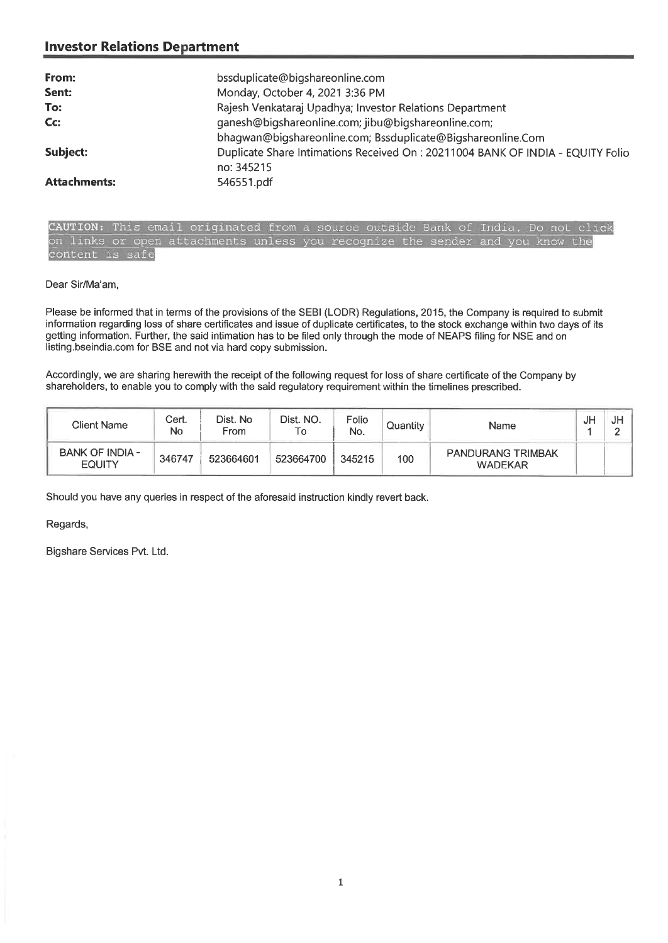## **Investor Relations Department**

| From:               | bssduplicate@bigshareonline.com                                                 |
|---------------------|---------------------------------------------------------------------------------|
| Sent:               | Monday, October 4, 2021 3:36 PM                                                 |
| To:                 | Rajesh Venkataraj Upadhya; Investor Relations Department                        |
| Cc:                 | ganesh@bigshareonline.com; jibu@bigshareonline.com;                             |
|                     | bhagwan@bigshareonline.com; Bssduplicate@Bigshareonline.Com                     |
| Subject:            | Duplicate Share Intimations Received On : 20211004 BANK OF INDIA - EQUITY Folio |
|                     | no: 345215                                                                      |
| <b>Attachments:</b> | 546551.pdf                                                                      |

CAUTION: This email originated from a source outside Bank of India. Do not click on links or open attachments unless you recognize the sender and you know the content is safe

Dear Sir/Ma'am,

Please be informed that in terms of the provisions of the SEBI (LODR) Regulations, 2015, the Company is required to submit information regarding loss of share certificates and issue of duplicate certificates, to the stock exchange within two days of its getting information. Further, the said intimation has to be filed only through the mode of NEAPS filing for NSE and on listing.bseindia.com for BSE and not via hard copy submission.

Accordingly, we are sharing herewith the receipt of the following request for loss of share certificate of the Company by shareholders, to enable you to comply with the said regulatory requirement within the timelines prescribed.

| Client Name                      | Cert.<br>No | Dist. No<br>From | Dist. NO.<br>Т٥                              | Folio<br>No. | Quantity                 | Name | JF | JH<br>$\sim$<br>- |
|----------------------------------|-------------|------------------|----------------------------------------------|--------------|--------------------------|------|----|-------------------|
| BANK OF INDIA -<br><b>EQUITY</b> | 346747      | 523664601        | 345215<br>100<br>523664700<br><b>WADEKAR</b> |              | <b>PANDURANG TRIMBAK</b> |      |    |                   |

Should you have any queries in respect of the aforesaid instruction kindly revert back.

Regards,

Bigshare Services Pvt. Ltd.